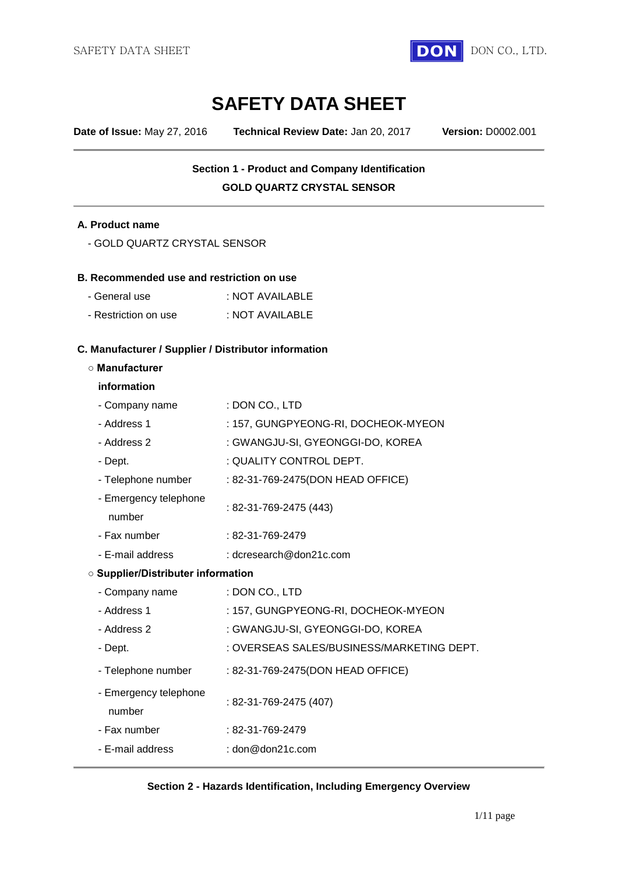

# **SAFETY DATA SHEET**

**Date of Issue:** May 27, 2016 **Technical Review Date:** Jan 20, 2017 **Version:** D0002.001

# **Section 1 - Product and Company Identification GOLD QUARTZ CRYSTAL SENSOR**

#### **A. Product name**

#### **B. Recommended use and restriction on use**

| - General use        | : NOT AVAILABLE |
|----------------------|-----------------|
| - Restriction on use | : NOT AVAILABLE |

#### **C. Manufacturer / Supplier / Distributor information**

#### **○ Manufacturer**

#### **information**

| - Company name                            | : DON CO., LTD                            |  |
|-------------------------------------------|-------------------------------------------|--|
| - Address 1                               | : 157, GUNGPYEONG-RI, DOCHEOK-MYEON       |  |
| - Address 2                               | : GWANGJU-SI, GYEONGGI-DO, KOREA          |  |
| - Dept.                                   | : QUALITY CONTROL DEPT.                   |  |
| - Telephone number                        | : 82-31-769-2475(DON HEAD OFFICE)         |  |
| - Emergency telephone<br>number           | : 82-31-769-2475 (443)                    |  |
| - Fax number                              | : 82-31-769-2479                          |  |
| - E-mail address                          | : dcresearch@don21c.com                   |  |
| <b>O Supplier/Distributer information</b> |                                           |  |
| - Company name                            | : DON CO., LTD                            |  |
| - Address 1                               | : 157, GUNGPYEONG-RI, DOCHEOK-MYEON       |  |
| - Address 2                               | : GWANGJU-SI, GYEONGGI-DO, KOREA          |  |
| - Dept.                                   | : OVERSEAS SALES/BUSINESS/MARKETING DEPT. |  |
| - Telephone number                        | : 82-31-769-2475(DON HEAD OFFICE)         |  |
| - Emergency telephone<br>number           | : 82-31-769-2475 (407)                    |  |
| - Fax number                              | $:82-31-769-2479$                         |  |
| - E-mail address                          | : $\text{don@don21c.com}$                 |  |
|                                           |                                           |  |

#### **Section 2 - Hazards Identification, Including Emergency Overview**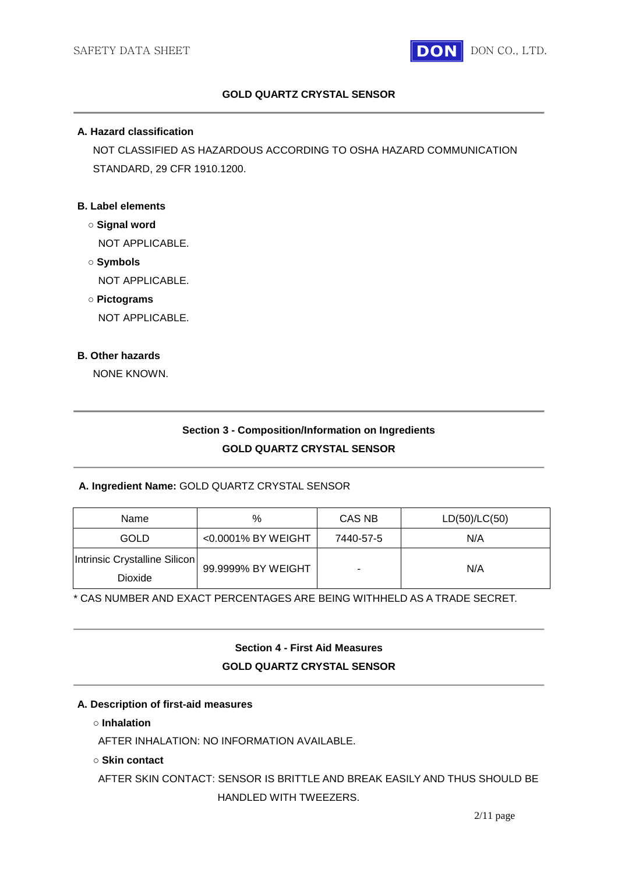

# **GOLD QUARTZ CRYSTAL SENSOR**

### **A. Hazard classification**

NOT CLASSIFIED AS HAZARDOUS ACCORDING TO OSHA HAZARD COMMUNICATION STANDARD, 29 CFR 1910.1200.

### **B. Label elements**

- **○ Signal word** NOT APPLICABLE.
- **○ Symbols** NOT APPLICABLE.
- **○ Pictograms**

NOT APPLICABLE.

### **B. Other hazards**

NONE KNOWN.

# **Section 3 - Composition/Information on Ingredients GOLD QUARTZ CRYSTAL SENSOR**

#### **A. Ingredient Name:** GOLD QUARTZ CRYSTAL SENSOR

| Name                                     | %                  | CAS NB    | LD(50)/LC(50) |
|------------------------------------------|--------------------|-----------|---------------|
| GOLD                                     | <0.0001% BY WEIGHT | 7440-57-5 | N/A           |
| Intrinsic Crystalline Silicon<br>Dioxide | 99.9999% BY WEIGHT | -         | N/A           |

\* CAS NUMBER AND EXACT PERCENTAGES ARE BEING WITHHELD AS A TRADE SECRET.

**Section 4 - First Aid Measures GOLD QUARTZ CRYSTAL SENSOR**

#### **A. Description of first-aid measures**

**○ Inhalation**

AFTER INHALATION: NO INFORMATION AVAILABLE.

#### **○ Skin contact**

AFTER SKIN CONTACT: SENSOR IS BRITTLE AND BREAK EASILY AND THUS SHOULD BE HANDLED WITH TWEEZERS.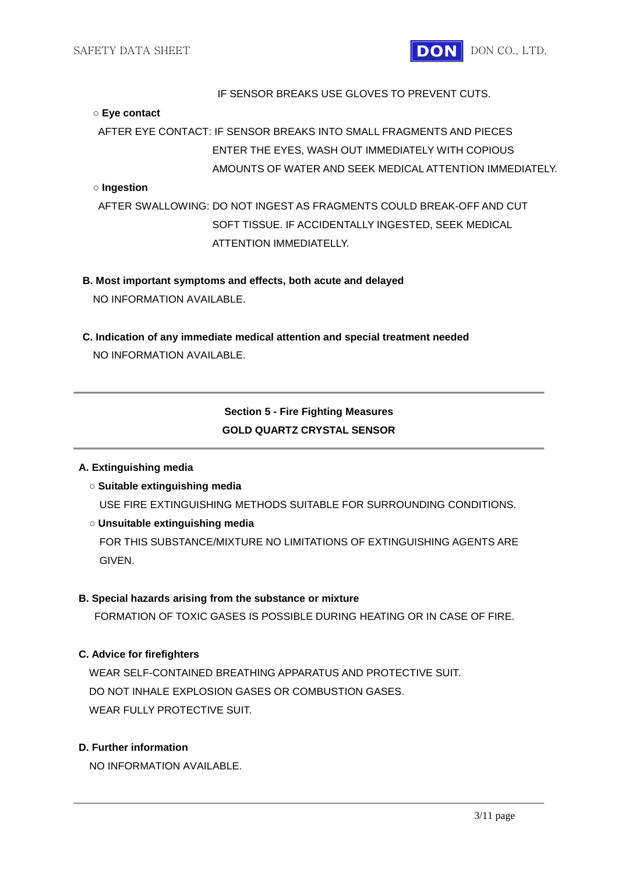

### IF SENSOR BREAKS USE GLOVES TO PREVENT CUTS.

#### **○ Eye contact**

AFTER EYE CONTACT: IF SENSOR BREAKS INTO SMALL FRAGMENTS AND PIECES ENTER THE EYES, WASH OUT IMMEDIATELY WITH COPIOUS AMOUNTS OF WATER AND SEEK MEDICAL ATTENTION IMMEDIATELY.

### **○ Ingestion**

AFTER SWALLOWING: DO NOT INGEST AS FRAGMENTS COULD BREAK-OFF AND CUT SOFT TISSUE. IF ACCIDENTALLY INGESTED, SEEK MEDICAL ATTENTION IMMEDIATELLY.

**B. Most important symptoms and effects, both acute and delayed** NO INFORMATION AVAILABLE.

**C. Indication of any immediate medical attention and special treatment needed** NO INFORMATION AVAILABLE.

# **Section 5 - Fire Fighting Measures GOLD QUARTZ CRYSTAL SENSOR**

#### **A. Extinguishing media**

**○ Suitable extinguishing media**

USE FIRE EXTINGUISHING METHODS SUITABLE FOR SURROUNDING CONDITIONS.

#### **○ Unsuitable extinguishing media**

FOR THIS SUBSTANCE/MIXTURE NO LIMITATIONS OF EXTINGUISHING AGENTS ARE GIVEN.

#### **B. Special hazards arising from the substance or mixture**

FORMATION OF TOXIC GASES IS POSSIBLE DURING HEATING OR IN CASE OF FIRE.

# **C. Advice for firefighters**

WEAR SELF-CONTAINED BREATHING APPARATUS AND PROTECTIVE SUIT. DO NOT INHALE EXPLOSION GASES OR COMBUSTION GASES. WEAR FULLY PROTECTIVE SUIT.

### **D. Further information**

NO INFORMATION AVAILABLE.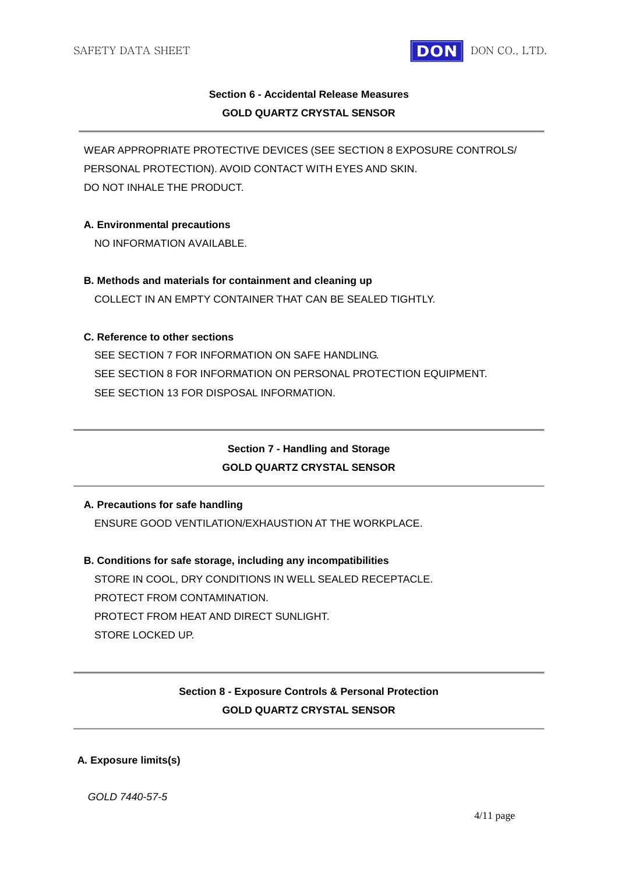

# **Section 6 - Accidental Release Measures GOLD QUARTZ CRYSTAL SENSOR**

WEAR APPROPRIATE PROTECTIVE DEVICES (SEE SECTION 8 EXPOSURE CONTROLS/ PERSONAL PROTECTION). AVOID CONTACT WITH EYES AND SKIN. DO NOT INHALE THE PRODUCT.

### **A. Environmental precautions**

NO INFORMATION AVAILABLE.

**B. Methods and materials for containment and cleaning up** COLLECT IN AN EMPTY CONTAINER THAT CAN BE SEALED TIGHTLY.

# **C. Reference to other sections**

SEE SECTION 7 FOR INFORMATION ON SAFE HANDLING. SEE SECTION 8 FOR INFORMATION ON PERSONAL PROTECTION EQUIPMENT. SEE SECTION 13 FOR DISPOSAL INFORMATION.

# **Section 7 - Handling and Storage GOLD QUARTZ CRYSTAL SENSOR**

# **A. Precautions for safe handling**

ENSURE GOOD VENTILATION/EXHAUSTION AT THE WORKPLACE.

**B. Conditions for safe storage, including any incompatibilities** STORE IN COOL, DRY CONDITIONS IN WELL SEALED RECEPTACLE. PROTECT FROM CONTAMINATION. PROTECT FROM HEAT AND DIRECT SUNLIGHT. STORE LOCKED UP

# **Section 8 - Exposure Controls & Personal Protection GOLD QUARTZ CRYSTAL SENSOR**

#### **A. Exposure limits(s)**

*GOLD 7440-57-5*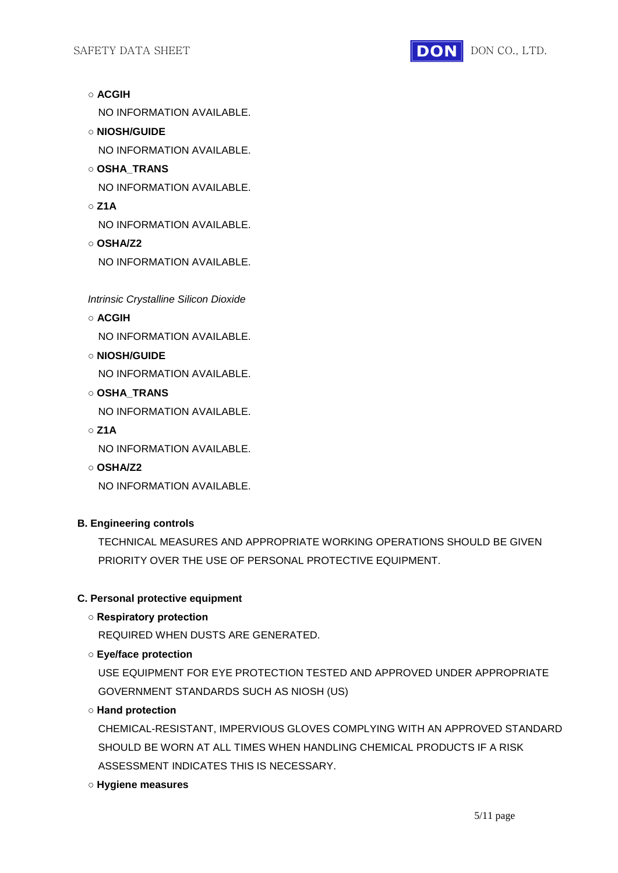

- **ACGIH** NO INFORMATION AVAILABLE.
- **NIOSH/GUIDE** NO INFORMATION AVAILABLE.
- **OSHA\_TRANS** NO INFORMATION AVAILABLE.
- **Z1A**

NO INFORMATION AVAILABLE.

**○ OSHA/Z2** NO INFORMATION AVAILABLE.

*Intrinsic Crystalline Silicon Dioxide*

**○ ACGIH**

NO INFORMATION AVAILABLE.

**○ NIOSH/GUIDE**

NO INFORMATION AVAILABLE.

**○ OSHA\_TRANS**

NO INFORMATION AVAILABLE.

**○ Z1A**

NO INFORMATION AVAILABLE.

**○ OSHA/Z2**

NO INFORMATION AVAILABLE.

# **B. Engineering controls**

TECHNICAL MEASURES AND APPROPRIATE WORKING OPERATIONS SHOULD BE GIVEN PRIORITY OVER THE USE OF PERSONAL PROTECTIVE EQUIPMENT.

# **C. Personal protective equipment**

**○ Respiratory protection**

REQUIRED WHEN DUSTS ARE GENERATED.

# **○ Eye/face protection**

USE EQUIPMENT FOR EYE PROTECTION TESTED AND APPROVED UNDER APPROPRIATE GOVERNMENT STANDARDS SUCH AS NIOSH (US)

**○ Hand protection**

CHEMICAL-RESISTANT, IMPERVIOUS GLOVES COMPLYING WITH AN APPROVED STANDARD SHOULD BE WORN AT ALL TIMES WHEN HANDLING CHEMICAL PRODUCTS IF A RISK ASSESSMENT INDICATES THIS IS NECESSARY.

**○ Hygiene measures**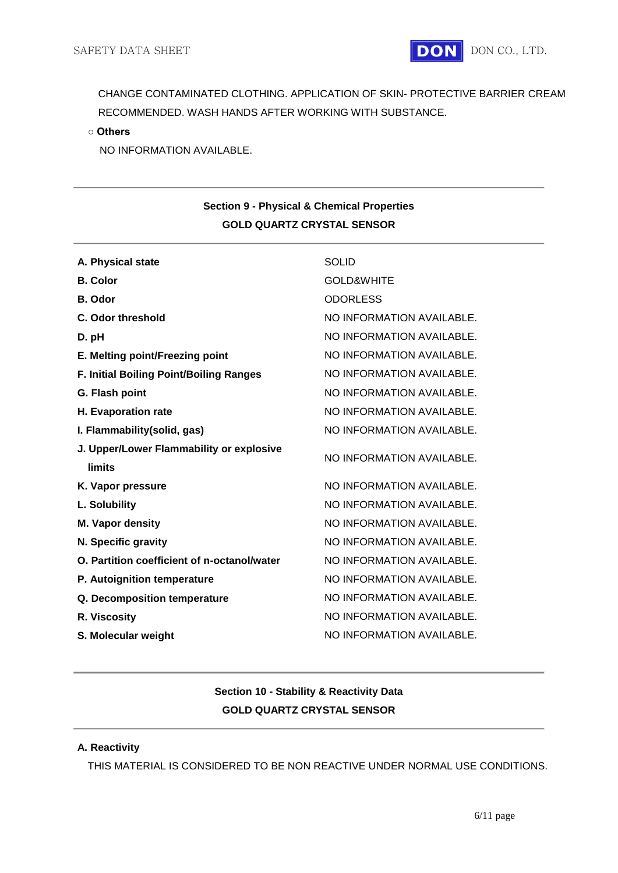

CHANGE CONTAMINATED CLOTHING. APPLICATION OF SKIN- PROTECTIVE BARRIER CREAM RECOMMENDED. WASH HANDS AFTER WORKING WITH SUBSTANCE.

**○ Others**

NO INFORMATION AVAILABLE.

# **Section 9 - Physical & Chemical Properties GOLD QUARTZ CRYSTAL SENSOR**

| A. Physical state                              | <b>SOLID</b>              |
|------------------------------------------------|---------------------------|
| <b>B.</b> Color                                | <b>GOLD&amp;WHITE</b>     |
| <b>B.</b> Odor                                 | <b>ODORLESS</b>           |
| C. Odor threshold                              | NO INFORMATION AVAILABLE. |
| D. pH                                          | NO INFORMATION AVAILABLE. |
| E. Melting point/Freezing point                | NO INFORMATION AVAILABLE. |
| <b>F. Initial Boiling Point/Boiling Ranges</b> | NO INFORMATION AVAILABLE. |
| G. Flash point                                 | NO INFORMATION AVAILABLE. |
| H. Evaporation rate                            | NO INFORMATION AVAILABLE. |
| I. Flammability(solid, gas)                    | NO INFORMATION AVAILABLE. |
| J. Upper/Lower Flammability or explosive       | NO INFORMATION AVAILABLE. |
| limits                                         |                           |
| K. Vapor pressure                              | NO INFORMATION AVAILABLE. |
| L. Solubility                                  | NO INFORMATION AVAILABLE. |
| M. Vapor density                               | NO INFORMATION AVAILABLE. |
| N. Specific gravity                            | NO INFORMATION AVAILABLE. |
| O. Partition coefficient of n-octanol/water    | NO INFORMATION AVAILABLE. |
| P. Autoignition temperature                    | NO INFORMATION AVAILABLE. |
| Q. Decomposition temperature                   | NO INFORMATION AVAILABLE. |
| R. Viscosity                                   | NO INFORMATION AVAILABLE. |
| S. Molecular weight                            | NO INFORMATION AVAILABLE. |
|                                                |                           |

# **Section 10 - Stability & Reactivity Data GOLD QUARTZ CRYSTAL SENSOR**

# **A. Reactivity**

THIS MATERIAL IS CONSIDERED TO BE NON REACTIVE UNDER NORMAL USE CONDITIONS.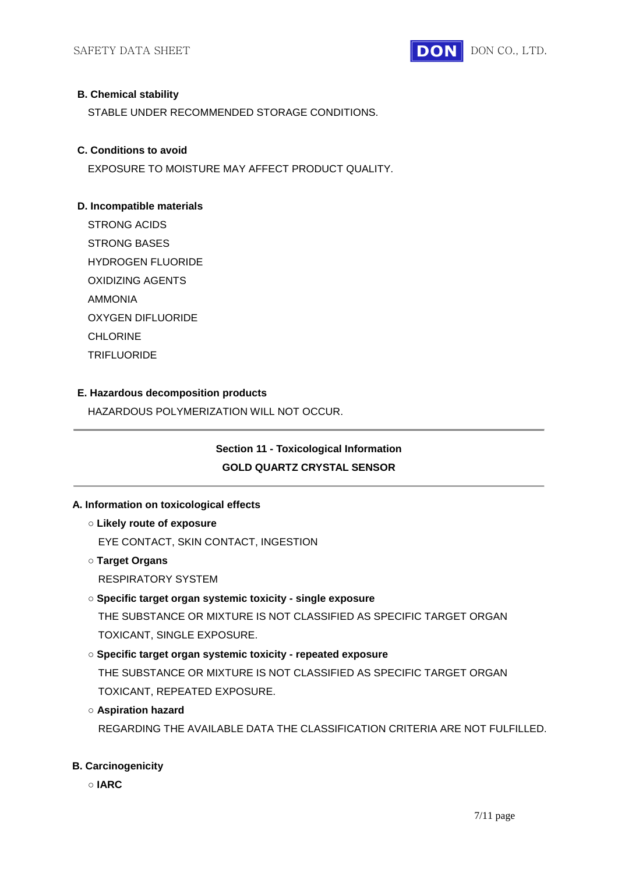

### **B. Chemical stability**

STABLE UNDER RECOMMENDED STORAGE CONDITIONS.

### **C. Conditions to avoid**

EXPOSURE TO MOISTURE MAY AFFECT PRODUCT QUALITY.

# **D. Incompatible materials**

STRONG ACIDS STRONG BASES HYDROGEN FLUORIDE OXIDIZING AGENTS AMMONIA OXYGEN DIFLUORIDE CHLORINE **TRIFLUORIDE** 

# **E. Hazardous decomposition products**

HAZARDOUS POLYMERIZATION WILL NOT OCCUR.

# **Section 11 - Toxicological Information GOLD QUARTZ CRYSTAL SENSOR**

# **A. Information on toxicological effects**

- **○ Likely route of exposure**
	- EYE CONTACT, SKIN CONTACT, INGESTION
- **○ Target Organs**
	- RESPIRATORY SYSTEM

# **○ Specific target organ systemic toxicity - single exposure**

THE SUBSTANCE OR MIXTURE IS NOT CLASSIFIED AS SPECIFIC TARGET ORGAN TOXICANT, SINGLE EXPOSURE.

# **○ Specific target organ systemic toxicity - repeated exposure**

THE SUBSTANCE OR MIXTURE IS NOT CLASSIFIED AS SPECIFIC TARGET ORGAN TOXICANT, REPEATED EXPOSURE.

#### **○ Aspiration hazard**

REGARDING THE AVAILABLE DATA THE CLASSIFICATION CRITERIA ARE NOT FULFILLED.

#### **B. Carcinogenicity**

**○ IARC**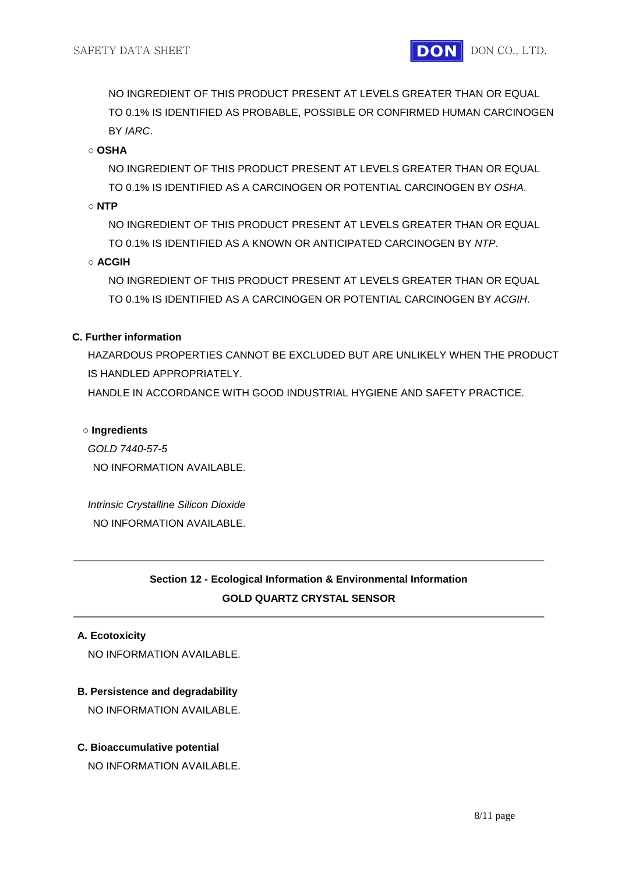NO INGREDIENT OF THIS PRODUCT PRESENT AT LEVELS GREATER THAN OR EQUAL TO 0.1% IS IDENTIFIED AS PROBABLE, POSSIBLE OR CONFIRMED HUMAN CARCINOGEN BY *IARC*.

**○ OSHA**

NO INGREDIENT OF THIS PRODUCT PRESENT AT LEVELS GREATER THAN OR EQUAL TO 0.1% IS IDENTIFIED AS A CARCINOGEN OR POTENTIAL CARCINOGEN BY *OSHA*.

**○ NTP**

NO INGREDIENT OF THIS PRODUCT PRESENT AT LEVELS GREATER THAN OR EQUAL TO 0.1% IS IDENTIFIED AS A KNOWN OR ANTICIPATED CARCINOGEN BY *NTP*.

**○ ACGIH**

NO INGREDIENT OF THIS PRODUCT PRESENT AT LEVELS GREATER THAN OR EQUAL TO 0.1% IS IDENTIFIED AS A CARCINOGEN OR POTENTIAL CARCINOGEN BY *ACGIH*.

# **C. Further information**

HAZARDOUS PROPERTIES CANNOT BE EXCLUDED BUT ARE UNLIKELY WHEN THE PRODUCT IS HANDLED APPROPRIATELY.

HANDLE IN ACCORDANCE WITH GOOD INDUSTRIAL HYGIENE AND SAFETY PRACTICE.

#### **○ Ingredients**

*GOLD 7440-57-5* NO INFORMATION AVAILABLE.

*Intrinsic Crystalline Silicon Dioxide* NO INFORMATION AVAILABLE.

# **Section 12 - Ecological Information & Environmental Information GOLD QUARTZ CRYSTAL SENSOR**

#### **A. Ecotoxicity**

NO INFORMATION AVAILABLE.

#### **B. Persistence and degradability**

NO INFORMATION AVAILABLE.

#### **C. Bioaccumulative potential**

NO INFORMATION AVAILABLE.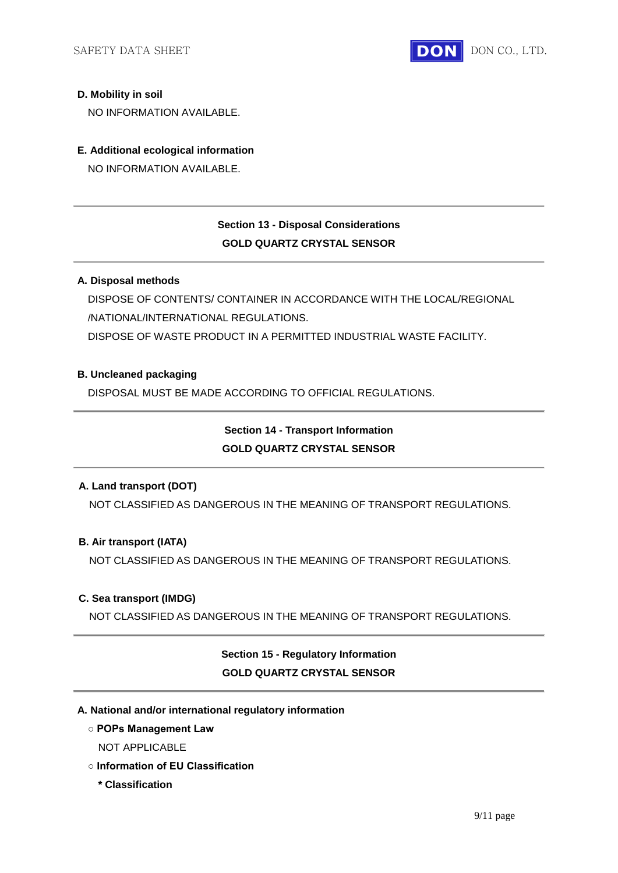

### **D. Mobility in soil**

NO INFORMATION AVAILABLE.

### **E. Additional ecological information**

NO INFORMATION AVAILABLE.

# **Section 13 - Disposal Considerations GOLD QUARTZ CRYSTAL SENSOR**

### **A. Disposal methods**

DISPOSE OF CONTENTS/ CONTAINER IN ACCORDANCE WITH THE LOCAL/REGIONAL /NATIONAL/INTERNATIONAL REGULATIONS. DISPOSE OF WASTE PRODUCT IN A PERMITTED INDUSTRIAL WASTE FACILITY.

### **B. Uncleaned packaging**

DISPOSAL MUST BE MADE ACCORDING TO OFFICIAL REGULATIONS.

# **Section 14 - Transport Information GOLD QUARTZ CRYSTAL SENSOR**

# **A. Land transport (DOT)**

NOT CLASSIFIED AS DANGEROUS IN THE MEANING OF TRANSPORT REGULATIONS.

# **B. Air transport (IATA)**

NOT CLASSIFIED AS DANGEROUS IN THE MEANING OF TRANSPORT REGULATIONS.

#### **C. Sea transport (IMDG)**

NOT CLASSIFIED AS DANGEROUS IN THE MEANING OF TRANSPORT REGULATIONS.

# **Section 15 - Regulatory Information GOLD QUARTZ CRYSTAL SENSOR**

#### **A. National and/or international regulatory information**

- **POPs Management Law**
	- NOT APPLICABLE
- **Information of EU Classification**
	- **\* Classification**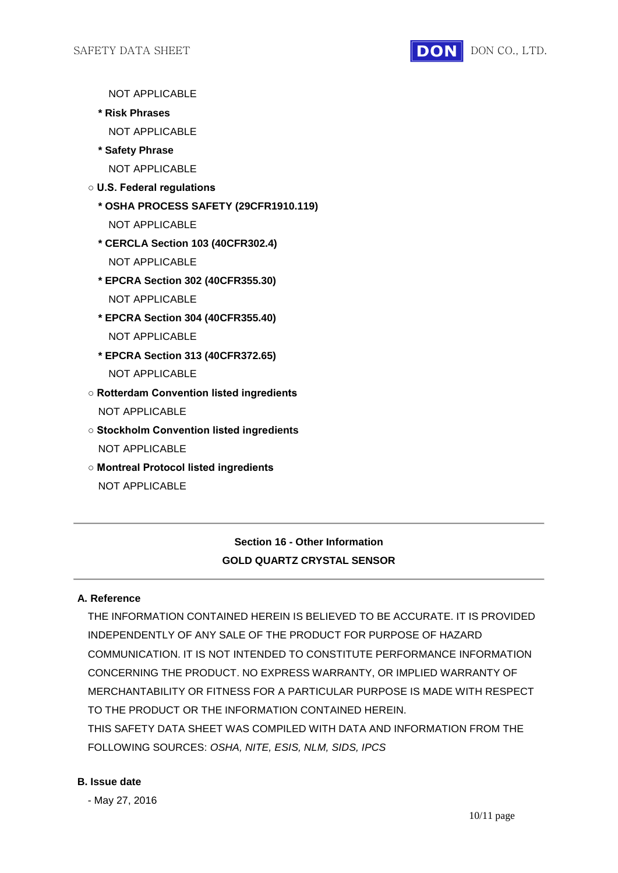

NOT APPLICABLE

- **\* Risk Phrases**
	- NOT APPLICABLE
- **\* Safety Phrase**

NOT APPLICABLE

- **U.S. Federal regulations**
	- **\* OSHA PROCESS SAFETY (29CFR1910.119)**
		- NOT APPLICABLE
	- **\* CERCLA Section 103 (40CFR302.4)** NOT APPLICABLE
	- **\* EPCRA Section 302 (40CFR355.30)** NOT APPLICABLE
	- **\* EPCRA Section 304 (40CFR355.40)** NOT APPLICABLE
	- **\* EPCRA Section 313 (40CFR372.65)** NOT APPLICABLE
- **Rotterdam Convention listed ingredients** NOT APPLICABLE
- **Stockholm Convention listed ingredients** NOT APPLICABLE
- **Montreal Protocol listed ingredients** NOT APPLICABLE

# **Section 16 - Other Information GOLD QUARTZ CRYSTAL SENSOR**

# **A. Reference**

THE INFORMATION CONTAINED HEREIN IS BELIEVED TO BE ACCURATE. IT IS PROVIDED INDEPENDENTLY OF ANY SALE OF THE PRODUCT FOR PURPOSE OF HAZARD COMMUNICATION. IT IS NOT INTENDED TO CONSTITUTE PERFORMANCE INFORMATION CONCERNING THE PRODUCT. NO EXPRESS WARRANTY, OR IMPLIED WARRANTY OF MERCHANTABILITY OR FITNESS FOR A PARTICULAR PURPOSE IS MADE WITH RESPECT TO THE PRODUCT OR THE INFORMATION CONTAINED HEREIN. THIS SAFETY DATA SHEET WAS COMPILED WITH DATA AND INFORMATION FROM THE FOLLOWING SOURCES: *OSHA, NITE, ESIS, NLM, SIDS, IPCS*

#### **B. Issue date**

- May 27, 2016